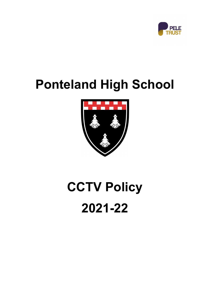

# **Ponteland High School**



# **CCTV Policy 2021-22**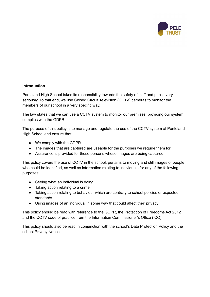

#### **Introduction**

Ponteland High School takes its responsibility towards the safety of staff and pupils very seriously. To that end, we use Closed Circuit Television (CCTV) cameras to monitor the members of our school in a very specific way.

The law states that we can use a CCTV system to monitor our premises, providing our system complies with the GDPR.

The purpose of this policy is to manage and regulate the use of the CCTV system at Ponteland High School and ensure that:

- We comply with the GDPR
- The images that are captured are useable for the purposes we require them for
- Assurance is provided for those persons whose images are being captured

This policy covers the use of CCTV in the school, pertains to moving and still images of people who could be identified, as well as information relating to individuals for any of the following purposes:

- Seeing what an individual is doing
- Taking action relating to a crime
- Taking action relating to behaviour which are contrary to school policies or expected standards
- Using images of an individual in some way that could affect their privacy

This policy should be read with reference to the GDPR, the Protection of Freedoms Act 2012 and the CCTV code of practice from the Information Commissioner's Office (ICO).

This policy should also be read in conjunction with the school's Data Protection Policy and the school Privacy Notices.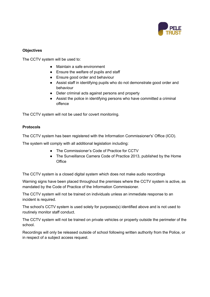

# **Objectives**

The CCTV system will be used to:

- Maintain a safe environment
- Ensure the welfare of pupils and staff
- Ensure good order and behaviour
- Assist staff in identifying pupils who do not demonstrate good order and behaviour
- Deter criminal acts against persons and property
- Assist the police in identifying persons who have committed a criminal offence

The CCTV system will not be used for covert monitoring.

# **Protocols**

The CCTV system has been registered with the Information Commissioner's' Office (ICO).

The system will comply with all additional legislation including:

- The Commissioner's Code of Practice for CCTV
- The Surveillance Camera Code of Practice 2013, published by the Home **Office**

The CCTV system is a closed digital system which does not make audio recordings

Warning signs have been placed throughout the premises where the CCTV system is active, as mandated by the Code of Practice of the Information Commissioner.

The CCTV system will not be trained on individuals unless an immediate response to an incident is required.

The school's CCTV system is used solely for purposes(s) identified above and is not used to routinely monitor staff conduct.

The CCTV system will not be trained on private vehicles or property outside the perimeter of the school.

Recordings will only be released outside of school following written authority from the Police, or in respect of a subject access request.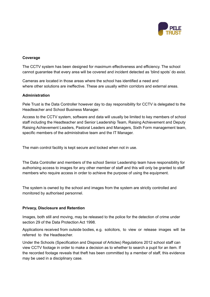

#### **Coverage**

The CCTV system has been designed for maximum effectiveness and efficiency. The school cannot guarantee that every area will be covered and incident detected as 'blind spots' do exist.

Cameras are located in those areas where the school has identified a need and where other solutions are ineffective. These are usually within corridors and external areas.

#### **Administration**

Pele Trust is the Data Controller however day to day responsibility for CCTV is delegated to the Headteacher and School Business Manager.

Access to the CCTV system, software and data will usually be limited to key members of school staff including the Headteacher and Senior Leadership Team, Raising Achievement and Deputy Raising Achievement Leaders, Pastoral Leaders and Managers, Sixth Form management team, specific members of the administrative team and the IT Manager.

The main control facility is kept secure and locked when not in use.

The Data Controller and members of the school Senior Leadership team have responsibility for authorising access to images for any other member of staff and this will only be granted to staff members who require access in order to achieve the purpose of using the equipment.

The system is owned by the school and images from the system are strictly controlled and monitored by authorised personnel.

## **Privacy, Disclosure and Retention**

Images, both still and moving, may be released to the police for the detection of crime under section 29 of the Data Protection Act 1998.

Applications received from outside bodies, e.g. solicitors, to view or release images will be referred to the Headteacher.

Under the Schools (Specification and Disposal of Articles) Regulations 2012 school staff can view CCTV footage in order to make a decision as to whether to search a pupil for an item. If the recorded footage reveals that theft has been committed by a member of staff, this evidence may be used in a disciplinary case.